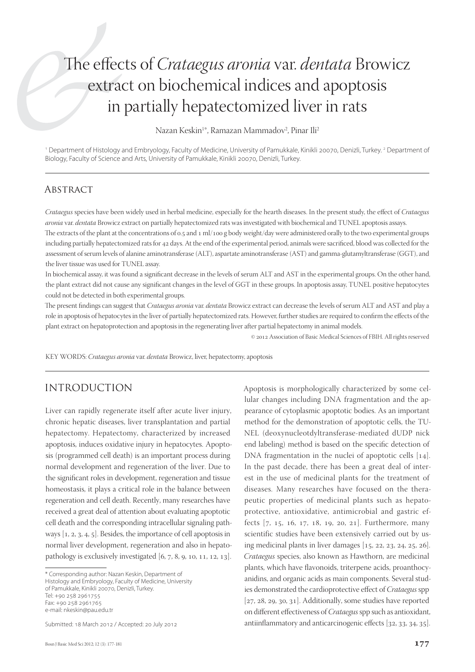# The effects of *Crataegus aronia* var. *dentata* Browicz extract on biochemical indices and apoptosis in partially hepatectomized liver in rats

Nazan Keskin<sup>1</sup>\*, Ramazan Mammadov<sup>2</sup>, Pinar Ili<sup>2</sup>

<sup>1</sup> Department of Histology and Embryology, Faculty of Medicine, University of Pamukkale, Kinikli 20070, Denizli, Turkey. <sup>2</sup> Department of Biology, Faculty of Science and Arts, University of Pamukkale, Kinikli 20070, Denizli, Turkey.

#### **ABSTRACT**

*Crataegus* species have been widely used in herbal medicine, especially for the hearth diseases. In the present study, the effect of *Crataegus aronia* var. *dentata* Browicz extract on partially hepatectomized rats was investigated with biochemical and TUNEL apoptosis assays.

The extracts of the plant at the concentrations of  $0.5$  and  $1 \text{ ml}/100 \text{ g}$  body weight/day were administered orally to the two experimental groups including partially hepatectomized rats for 42 days. At the end of the experimental period, animals were sacrificed, blood was collected for the assessment of serum levels of alanine aminotransferase (ALT), aspartate aminotransferase (AST) and gamma-glutamyltransferase (GGT), and the liver tissue was used for TUNEL assay.

In biochemical assay, it was found a significant decrease in the levels of serum ALT and AST in the experimental groups. On the other hand, the plant extract did not cause any significant changes in the level of GGT in these groups. In apoptosis assay, TUNEL positive hepatocytes could not be detected in both experimental groups.

The present findings can suggest that *Crataegus aronia* var. *dentata* Browicz extract can decrease the levels of serum ALT and AST and play a role in apoptosis of hepatocytes in the liver of partially hepatectomized rats. However, further studies are required to confirm the effects of the plant extract on hepatoprotection and apoptosis in the regenerating liver after partial hepatectomy in animal models.

 $©$  2012 Association of Basic Medical Sciences of FBIH. All rights reserved

KEY WORDS: *Crataegus aronia* var. *dentata* Browicz, liver, hepatectomy, apoptosis

#### INTRODUCTION

Liver can rapidly regenerate itself after acute liver injury, chronic hepatic diseases, liver transplantation and partial hepatectomy. Hepatectomy, characterized by increased apoptosis, induces oxidative injury in hepatocytes. Apoptosis (programmed cell death) is an important process during normal development and regeneration of the liver. Due to the significant roles in development, regeneration and tissue homeostasis, it plays a critical role in the balance between regeneration and cell death. Recently, many researches have received a great deal of attention about evaluating apoptotic cell death and the corresponding intracellular signaling pathways  $[1, 2, 3, 4, 5]$ . Besides, the importance of cell apoptosis in normal liver development, regeneration and also in hepatopathology is exclusively investigated  $[6, 7, 8, 9, 10, 11, 12, 13]$ .

Submitted: 18 March 2012 / Accepted: 20 July 2012

Apoptosis is morphologically characterized by some cellular changes including DNA fragmentation and the appearance of cytoplasmic apoptotic bodies. As an important method for the demonstration of apoptotic cells, the TU-NEL (deoxynucleotdyltransferase-mediated dUDP nick end labeling) method is based on the specific detection of DNA fragmentation in the nuclei of apoptotic cells  $[14]$ . In the past decade, there has been a great deal of interest in the use of medicinal plants for the treatment of diseases. Many researches have focused on the therapeutic properties of medicinal plants such as hepatoprotective, antioxidative, antimicrobial and gastric effects [7, 15, 16, 17, 18, 19, 20, 21]. Furthermore, many scientific studies have been extensively carried out by using medicinal plants in liver damages  $[15, 22, 23, 24, 25, 26]$ . *Crataegus* species, also known as Hawthorn, are medicinal plants, which have flavonoids, triterpene acids, proanthocyanidins, and organic acids as main components. Several studies demonstrated the cardioprotective effect of *Crataegus* spp  $[27, 28, 29, 30, 31]$ . Additionally, some studies have reported on different effectiveness of *Crataegus* spp such as antioxidant, antiinflammatory and anticarcinogenic effects [32, 33, 34, 35].

<sup>\*</sup> Corresponding author: Nazan Keskin, Department of Histology and Embryology, Faculty of Medicine, University of Pamukkale, Kinikli 20070, Denizli, Turkey. Tel: +90 258 2961755 Fax: +90 258 2961765 e-mail: nkeskin@pau.edu.tr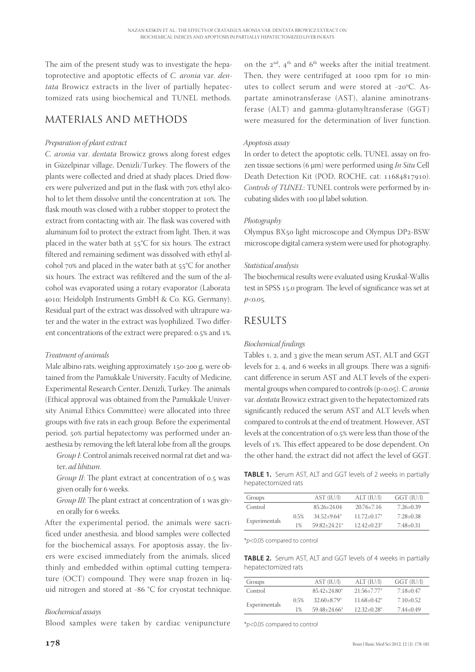The aim of the present study was to investigate the hepatoprotective and apoptotic effects of *C. aronia* var. *dentata* Browicz extracts in the liver of partially hepatectomized rats using biochemical and TUNEL methods.

## MATERIALS AND METHODS

#### *Preparation of plant extract*

*C. aronia* var. *dentata* Browicz grows along forest edges in Güzelpinar village, Denizli/Turkey. The flowers of the plants were collected and dried at shady places. Dried flowers were pulverized and put in the flask with 70% ethyl alcohol to let them dissolve until the concentration at 10%. The flask mouth was closed with a rubber stopper to protect the extract from contacting with air. The flask was covered with aluminum foil to protect the extract from light. Then, it was placed in the water bath at  $55^{\circ}$ C for six hours. The extract filtered and remaining sediment was dissolved with ethyl alcohol  $70\%$  and placed in the water bath at  $55^{\circ}$ C for another six hours. The extract was refiltered and the sum of the alcohol was evaporated using a rotary evaporator (Laborata ; Heidolph Instruments GmbH & Co. KG, Germany). Residual part of the extract was dissolved with ultrapure water and the water in the extract was lyophilized. Two different concentrations of the extract were prepared: 0.5% and 1%.

#### *Treatment of animals*

Male albino rats, weighing approximately 150-200 g, were obtained from the Pamukkale University, Faculty of Medicine, Experimental Research Center, Denizli, Turkey. The animals (Ethical approval was obtained from the Pamukkale University Animal Ethics Committee) were allocated into three groups with five rats in each group. Before the experimental period, 50% partial hepatectomy was performed under anaesthesia by removing the left lateral lobe from all the groups.

*Group I*: Control animals received normal rat diet and water, *ad libitum*.

*Group II*: The plant extract at concentration of 0.5 was given orally for 6 weeks.

*Group III*: The plant extract at concentration of 1 was given orally for 6 weeks.

After the experimental period, the animals were sacrificed under anesthesia, and blood samples were collected for the biochemical assays. For apoptosis assay, the livers were excised immediately from the animals, sliced thinly and embedded within optimal cutting temperature (OCT) compound. They were snap frozen in liquid nitrogen and stored at -86  $°C$  for cryostat technique.

#### *Biochemical assays*

Blood samples were taken by cardiac venipuncture

on the  $2<sup>nd</sup>$ ,  $4<sup>th</sup>$  and  $6<sup>th</sup>$  weeks after the initial treatment. Then, they were centrifuged at 1000 rpm for 10 minutes to collect serum and were stored at -20 $\mathrm{^oC}$ . Aspartate aminotransferase (AST), alanine aminotransferase (ALT) and gamma-glutamyltransferase (GGT) were measured for the determination of liver function.

#### *Apoptosis assay*

In order to detect the apoptotic cells, TUNEL assay on frozen tissue sections ( μm) were performed using *In Situ* Cell Death Detection Kit (POD, ROCHE, cat: 11684817910). *Controls of TUNEL*: TUNEL controls were performed by incubating slides with 100 µl label solution.

#### *Photography*

Olympus BX50 light microscope and Olympus DP2-BSW microscope digital camera system were used for photography.

#### *Statistical analysis*

The biochemical results were evaluated using Kruskal-Wallis test in SPSS 15.0 program. The level of significance was set at  $p<sub>0.05</sub>$ 

## RESULTS

#### *Biochemical fi ndings*

Tables 1, 2, and 3 give the mean serum AST, ALT and GGT levels for 2, 4, and 6 weeks in all groups. There was a significant difference in serum AST and ALT levels of the experimental groups when compared to controls (p<0.05). *C. aronia* var. *dentata* Browicz extract given to the hepatectomized rats significantly reduced the serum AST and ALT levels when compared to controls at the end of treatment. However, AST levels at the concentration of 0.5% were less than those of the levels of 1%. This effect appeared to be dose dependent. On the other hand, the extract did not affect the level of GGT.

**TABLE 1.** Serum AST, ALT and GGT levels of 2 weeks in partially hepatectomized rats

| Groups        |       | AST (IU/I)      | ALT (IU/l)                  | GGT (IU/l)    |
|---------------|-------|-----------------|-----------------------------|---------------|
| Control       |       | 85.26+24.04     | $20.76 + 7.16$              | $7.26 + 0.39$ |
| Experimentals | 0.5%  | $34.52 + 9.64*$ | $11.72+0.17*$               | 7.28+0.38     |
|               | $1\%$ | $5982+2421*$    | $12.42 + 0.23$ <sup>*</sup> | 7.48+0.31     |

\**p*<0.05 compared to control

**TABLE 2.** Serum AST, ALT and GGT levels of 4 weeks in partially hepatectomized rats

| Groups        |      | AST (IU/l)       | ALT (IU/l)                  | GGT (IU/l)  |
|---------------|------|------------------|-----------------------------|-------------|
| Control       |      | $85.42 + 24.80*$ | $21.56 + 7.77$ <sup>*</sup> | 7.18+0.47   |
| Experimentals | 0.5% | $32.60 + 8.79$   | $11.68 + 0.42^*$            | $7.10+0.52$ |
|               | 1%   | $59.48 + 24.66*$ | $12.32+0.28*$               | 7.44±0.49   |
|               |      |                  |                             |             |

\**p*<0.05 compared to control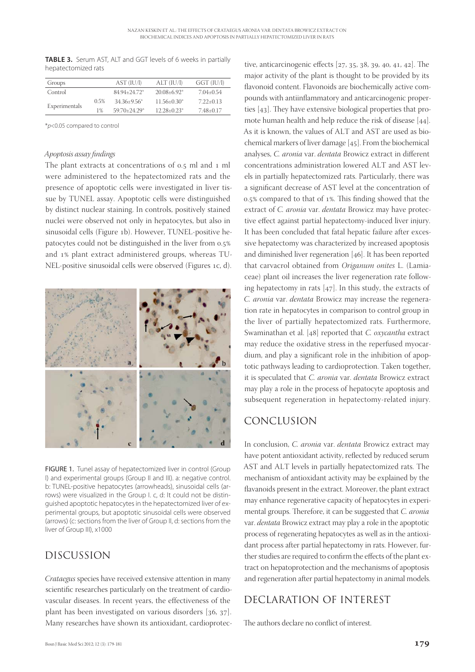**TABLE 3.** Serum AST, ALT and GGT levels of 6 weeks in partially hepatectomized rats

| Groups        |      | AST (IU/I)                   | ALT (IU/l)                  | GGT (IU/I)  |
|---------------|------|------------------------------|-----------------------------|-------------|
| Control       |      | 84.94+24.72*                 | $20.08 + 6.92$              | 7.04+0.54   |
| Experimentals | 0.5% | $34.36+9.56*$                | $11.56 + 0.30*$             | $7.22+0.13$ |
|               | 1%   | $59.70 + 24.29$ <sup>*</sup> | $12.28 + 0.23$ <sup>*</sup> | $7.48+0.17$ |

\**p*<0.05 compared to control

#### *Apoptosis assay fi ndings*

The plant extracts at concentrations of  $0.5$  ml and  $1$  ml were administered to the hepatectomized rats and the presence of apoptotic cells were investigated in liver tissue by TUNEL assay. Apoptotic cells were distinguished by distinct nuclear staining. In controls, positively stained nuclei were observed not only in hepatocytes, but also in sinusoidal cells (Figure 1b). However, TUNEL-positive hepatocytes could not be distinguished in the liver from 0.5% and 1% plant extract administered groups, whereas TU-NEL-positive sinusoidal cells were observed (Figures 1c, d).



FIGURE 1. Tunel assay of hepatectomized liver in control (Group I) and experimental groups (Group II and III). a: negative control. b: TUNEL-positive hepatocytes (arrowheads), sinusoidal cells (arrows) were visualized in the Group I. c, d: It could not be distinguished apoptotic hepatocytes in the hepatectomized liver of experimental groups, but apoptotic sinusoidal cells were observed (arrows) (c: sections from the liver of Group II, d: sections from the liver of Group III), x1000

#### DISCUSSION

*Crataegus* species have received extensive attention in many scientific researches particularly on the treatment of cardiovascular diseases. In recent years, the effectiveness of the plant has been investigated on various disorders  $[36, 37]$ . Many researches have shown its antioxidant, cardioprotec-

tive, anticarcinogenic effects  $[27, 35, 38, 39, 40, 41, 42]$ . The major activity of the plant is thought to be provided by its flavonoid content. Flavonoids are biochemically active compounds with antiinflammatory and anticarcinogenic properties  $[43]$ . They have extensive biological properties that promote human health and help reduce the risk of disease [44]. As it is known, the values of ALT and AST are used as biochemical markers of liver damage  $[45]$ . From the biochemical analyses, *C. aronia* var. *dentata* Browicz extract in different concentrations administration lowered ALT and AST levels in partially hepatectomized rats. Particularly, there was a significant decrease of AST level at the concentration of  $0.5\%$  compared to that of 1%. This finding showed that the extract of *C. aronia* var. *dentata* Browicz may have protective effect against partial hepatectomy-induced liver injury. It has been concluded that fatal hepatic failure after excessive hepatectomy was characterized by increased apoptosis and diminished liver regeneration  $[46]$ . It has been reported that carvacrol obtained from *Origanum onites* L. (Lamiaceae) plant oil increases the liver regeneration rate following hepatectomy in rats  $[47]$ . In this study, the extracts of *C. aronia* var. *dentata* Browicz may increase the regeneration rate in hepatocytes in comparison to control group in the liver of partially hepatectomized rats. Furthermore, Swaminathan et al. [48] reported that *C. oxycantha* extract may reduce the oxidative stress in the reperfused myocardium, and play a significant role in the inhibition of apoptotic pathways leading to cardioprotection. Taken together, it is speculated that *C. aronia* var. *dentata* Browicz extract may play a role in the process of hepatocyte apoptosis and subsequent regeneration in hepatectomy-related injury.

### CONCLUSION

In conclusion, *C. aronia* var. *dentata* Browicz extract may have potent antioxidant activity, reflected by reduced serum AST and ALT levels in partially hepatectomized rats. The mechanism of antioxidant activity may be explained by the flavanoids present in the extract. Moreover, the plant extract may enhance regenerative capacity of hepatocytes in experimental groups. Therefore, it can be suggested that *C. aronia* var. *dentata* Browicz extract may play a role in the apoptotic process of regenerating hepatocytes as well as in the antioxidant process after partial hepatectomy in rats. However, further studies are required to confirm the effects of the plant extract on hepatoprotection and the mechanisms of apoptosis and regeneration after partial hepatectomy in animal models.

## DECLARATION OF INTEREST

The authors declare no conflict of interest.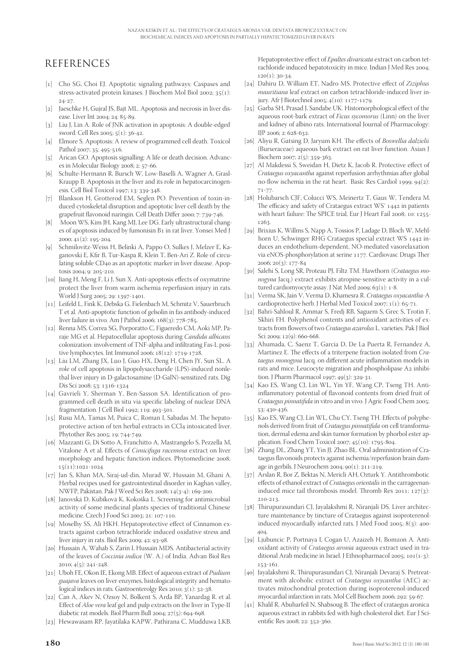## REFERENCES

- [1] Cho SG, Choi EJ. Apoptotic signaling pathways: Caspases and stress-activated protein kinases. J Biochem Mol Biol 2002;  $35(1)$ :  $24 - 27$
- [2] Jaeschke H, Gujral JS, Bajt ML. Apoptosis and necrosis in liver disease. Liver Int 2004; 24: 85-89.
- [3] Liu J, Lin A. Role of JNK activation in apoptosis: A double-edged sword. Cell Res 2005; 5(1): 36-42.
- [4] Elmore S. Apoptosis: A review of programmed cell death. Toxicol Pathol 2007; 35: 495-516.
- [5] Arican GO. Apoptosis signalling: A life or death decision. Advances in Molecular Biology 2008; 2: 57-66.
- [6] Schulte-Hermann R, Bursch W, Low-Baselli A, Wagner A, Grasl-Kraupp B. Apoptosis in the liver and its role in hepatocarcinogenesis. Cell Biol Toxicol 1997; 13: 339-348.
- [7] Blankson H, Grotterod EM, Seglen PO. Prevention of toxin-induced cytoskeletal disruption and apoptotic liver cell death by the grapefruit flavonoid naringin. Cell Death Differ 2000; 7: 739-746.
- [8] Moon WS, Kim JH, Kang MJ, Lee DG. Early ultrastructural changes of apoptosis induced by fumonisin B1 in rat liver. Yonsei Med J  $2000; 41(2): 195-204.$
- [] Schmilovitz-Weiss H, Belinki A, Pappo O, Sulkes J, Melzer E, Kaganovski E, Kfir B, Tur-Kaspa R, Klein T, Ben-Ari Z. Role of circulating soluble CD40 as an apoptotic marker in liver disease. Apoptosis 2004: 0: 205-210
- [10] Jiang H, Meng F, Li J, Sun X. Anti-apoptosis effects of oxymatrine protect the liver from warm ischemia reperfusion injury in rats. World J Surg 2005; 29: 1397-1401.
- [11] Leifeld L, Fink K, Debska G, Fielenbach M, Schmitz V, Sauerbruch T et al. Anti-apoptotic function of gelsolin in fas antibody-induced liver failure in vivo. Am J Pathol 2006;  $168(3)$ : 778-785.
- [12] Renna MS, Correa SG, Porporatto C, Figueredo CM, Aoki MP, Paraje MG et al. Hepatocellular apoptosis during *Candida albicans*  colonization: involvement of TNF-alpha and infiltrating Fas-L positive lymphocytes. Int Immunol 2006;  $18(12): 1719-1728$ .
- [13] Liu LM, Zhang JX, Luo J, Guo HX, Deng H, Chen JY, Sun SL. A role of cell apoptosis in lipopolysaccharide (LPS)-induced nonlethal liver injury in D-galactosamine (D-GalN)-sensitized rats. Dig Dis Sci 2008; 53: 1316-1324
- [14] Gavrieli Y, Sherman Y, Ben-Sasson SA. Identification of programmed cell death in situ via specific labeling of nuclear DNA fragmentation. J Cell Biol 1992; 119: 493-501.
- [15] Rusu MA, Tamas M, Puica C, Roman I, Sabadas M. The hepatoprotective action of ten herbal extracts in CCl4 intoxicated liver. Phytother Res 2005; 19: 744-749.
- [16] Mazzanti G, Di Sotto A, Franchitto A, Mastrangelo S, Pezzella M, Vitalone A et al. Effects of *Cimicifuga racemosa* extract on liver morphology and hepatic function indices. Phytomedicine 2008; 15(11):1021-1024
- [17] Jan S, Khan MA, Siraj-ud-din, Murad W, Hussain M, Ghani A. Herbal recipes used for gastrointestinal disorder in Kaghan valley, NWFP, Pakistan. Pak J Weed Sci Res 2008; 14(3-4): 169-200.
- [18] Janovská D, Kubíková K, Kokoška L. Screening for antimicrobial activity of some medicinal plants species of traditional Chinese medicine. Czech J Food Sci 2003; 21: 107-110.
- [19] Moselhy SS, Ali HKH. Hepatoprotective effect of Cinnamon extracts against carbon tetrachloride induced oxidative stress and liver injury in rats. Biol Res  $2009$ ;  $42: 93-98$ .
- [20] Hussain A, Wahab S, Zarin I, Hussain MDS. Antibacterial activity of the leaves of *Coccinia indica* (W. A.) of India. Advan Biol Res  $2010; 4(5): 241-248.$
- [21] Uboh FE, Okon IE, Ekong MB. Effect of aqueous extract of *Psidium guajava* leaves on liver enzymes, histological integrity and hematological indices in rats. Gastroenterolgy Res 2010;  $3(1)$ :  $32-38$ .
- [22] Can A, Akev N, Ozsoy N, Bolkent S, Arda BP, Yanardag R. et al. Effect of *Aloe vera* leaf gel and pulp extracts on the liver in Type-II diabetic rat models. Biol Pharm Bull 2004; 27(5): 694-698.
- [23] Hewawasam RP, Jayatilaka KAPW, Pathirana C, Mudduwa LKB.

Hepatoprotective effect of *Epaltes divaricata* extract on carbon tetrachloride induced hepatotoxicity in mice. Indian J Med Res 2004;  $120(1): 30-34.$ 

- [24] Dahiru D, William ET, Nadro MS. Protective effect of *Ziziphus mauritiana* leaf extract on carbon tetrachloride-induced liver injury. Afr J Biotechnol 2005; 4(10): 1177-1179.
- [25] Garba SH, Prasad J, Sandabe UK. Histomorphological effect of the aqueous root-bark extract of *Ficus sycomorus* (Linn) on the liver and kidney of albino rats. International Journal of Pharmacology:  $\text{HP } 2006: 2.628 - 632.$
- [26] Aliyu R, Gatsing D, Jaryum KH. The effects of *Boswellia dalzielii* (Burseraceae) aqueous bark extract on rat liver function. Asian J Biochem 2007; 2(5): 359-363.
- [27] Al Makdessi S, Sweidan H, Dietz K, Jacob R. Protective effect of *Crataegus oxyacantha* against reperfusion arrhythmias after global no-flow ischemia in the rat heart. Basic Res Cardiol 1999;  $94(2)$ :  $71 - 77$
- [28] Holubarsch CJF, Colucci WS, Meinertz T, Gaus W, Tendera M. The efficacy and safety of Crataegus extract WS<sup>®</sup> 1442 in patients with heart failure: The SPICE trial, Eur J Heart Fail 2008; 10: 1255-1263.
- [29] Brixius K, Willms S, Napp A, Tossios P, Ladage D, Bloch W, Mehlhorn U, Schwinger RHG Crataegus special extract WS 1442 induces an endothelium-dependent, NO-mediated vasorelaxation via eNOS-phosphorylation at serine 1177. Cardiovasc Drugs Ther  $2006; 20(3): 177-84$
- [30] Salehi S, Long SR, Proteau PJ, Filtz TM. Hawthorn (*Crataegus monogyna* Jacq.) extract exhibits atropine-sensitive activity in a cultured cardiomyocyte assay. J Nat Med 2009;  $63(1): 1-8$ .
- [] Verma SK, Jain V, Verma D, Khamesra R. *Crataegus oxyacantha*-A cardioprotective herb. J Herbal Med Toxicol 2007;  $1(1)$ : 65-71.
- [32] Bahri-Sahloul R, Ammar S, Fredj RB, Saguem S, Grec S, Trotin F, Skhiri FH. Polyphenol contents and antioxidant activities of extracts from flowers of two *Crataegus azarolus* L. varieties. Pak J Biol Sci 2009;  $12(9)$ : 660-668.
- [33] Ahumada, C, Saenz T, Garcia D, De La Puerta R, Fernandez A, Martinez E. The effects of a triterpene fraction isolated from *Cra*taegus monogyna Jacq. on different acute inflammation models in rats and mice. Leucocyte migration and phospholipase A2 inhibition. J Pharm Pharmacol 1997; 49(3): 329-31.
- [34] Kao ES, Wang CJ, Lin WL, Yin YF, Wang CP, Tseng TH. Antiinflammatory potential of flavonoid contents from dried fruit of *Crataegus pinnatifida* in vitro and in vivo. J Agric Food Chem 2005; 53: 430-436.
- [35] Kao ES, Wang CJ, Lin WL, Chu CY, Tseng TH. Effects of polyphenols derived from fruit of *Crataegus pinnatifida* on cell transformation, dermal edema and skin tumor formation by phorbol ester application. Food Chem Toxicol 2007;  $45(10): 1795-804$ .
- [36] Zhang DL, Zhang YT, Yin JJ, Zhao BL. Oral administration of Crataegus flavonoids protects against ischemia/reperfusion brain damage in gerbils. J Neurochem 2004; 90(1): 211-219.
- [37] Arslan R, Bor Z, Bektas N, Mericli AH, Ozturk Y. Antithrombotic effects of ethanol extract of *Crataegus orientalis* in the carrageenaninduced mice tail thrombosis model. Thromb Res 2011;  $127(3)$ :  $210 - 213.$
- [38] Thirupurasundari CJ, Jayalakshmi R, Niranjali DS. Liver architecture maintenance by tincture of Crataegus against isoproterenolinduced myocardially infarcted rats. J Med Food 2005;  $8(3)$ : 400-404.
- [39] Ljubuncic P, Portnaya I, Cogan U, Azaizeh H, Bomzon A. Antioxidant activity of *Crataegus aronia* aqueous extract used in traditional Arab medicine in Israel. J Ethnopharmacol 2005;  $101(1-3)$ : 153-161.
- [40] Jayalakshmi R, Thirupurasundari CJ, Niranjali Devaraj S. Pretreatment with alcoholic extract of *Crataegus oxycantha* (AEC) activates mitochondrial protection during isoproterenol-induced myocardial infarction in rats. Mol Cell Biochem 2006; 292: 59-67.
- [41] Khalil R, Abuharfeil N, Shabsoug B. The effect of crataegus aronica aqueous extract in rabbits fed with high cholesterol diet. Eur J Scientific Res 2008; 22: 352-360.